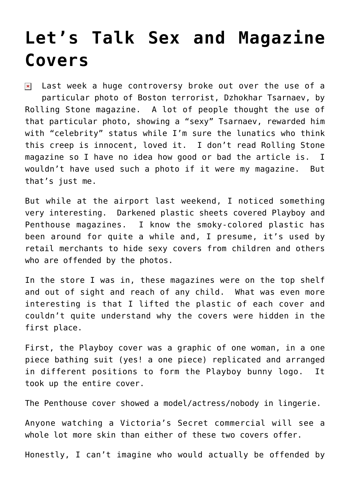## **[Let's Talk Sex and Magazine](https://bernardgoldberg.com/lets-talk-sex-and-magazine-covers/) [Covers](https://bernardgoldberg.com/lets-talk-sex-and-magazine-covers/)**

Last week a huge controversy broke out over the use of a  $\pmb{\times}$ particular photo of Boston terrorist, Dzhokhar Tsarnaev, by Rolling Stone magazine. A lot of people thought the use of that particular photo, showing a "sexy" Tsarnaev, rewarded him with "celebrity" status while I'm sure the lunatics who think this creep is innocent, loved it. I don't read Rolling Stone magazine so I have no idea how good or bad the article is. I wouldn't have used such a photo if it were my magazine. But that's just me.

But while at the airport last weekend, I noticed something very interesting. Darkened plastic sheets covered Playboy and Penthouse magazines. I know the smoky-colored plastic has been around for quite a while and, I presume, it's used by retail merchants to hide sexy covers from children and others who are offended by the photos.

In the store I was in, these magazines were on the top shelf and out of sight and reach of any child. What was even more interesting is that I lifted the plastic of each cover and couldn't quite understand why the covers were hidden in the first place.

First, the Playboy cover was a graphic of one woman, in a one piece bathing suit (yes! a one piece) replicated and arranged in different positions to form the Playboy bunny logo. It took up the entire cover.

The Penthouse cover showed a model/actress/nobody in lingerie.

Anyone watching a Victoria's Secret commercial will see a whole lot more skin than either of these two covers offer.

Honestly, I can't imagine who would actually be offended by